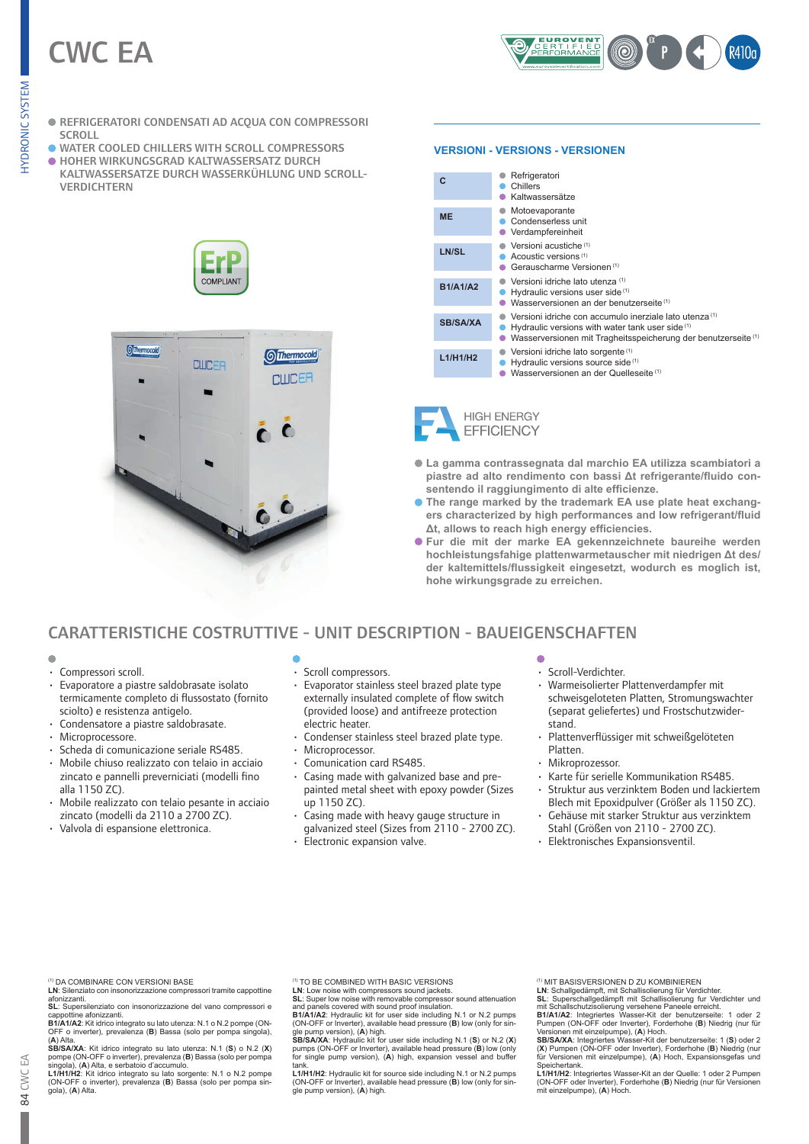# CWC EA



- REFRIGERATORI CONDENSATI AD ACQUA CON COMPRESSORI SCROLL
- WATER COOLED CHILLERS WITH SCROLL COMPRESSORS
- **. HOHER WIRKUNGSGRAD KALTWASSERSATZ DURCH**
- KALTWASSERSATZE DURCH WASSERKÜHLUNG UND SCROLL-**VERDICHTERN**





#### **VERSIONI - VERSIONS - VERSIONEN**

| C               | Refrigeratori<br>Chillers<br>Kaltwassersätze                                                                                                                                             |
|-----------------|------------------------------------------------------------------------------------------------------------------------------------------------------------------------------------------|
| <b>ME</b>       | Motoevaporante<br>Condenserless unit<br>Verdampfereinheit                                                                                                                                |
| LN/SL           | Versioni acustiche <sup>(1)</sup><br>Acoustic versions <sup>(1)</sup><br>Gerauscharme Versionen <sup>(1)</sup>                                                                           |
| <b>B1/A1/A2</b> | Versioni idriche lato utenza (1)<br>Hydraulic versions user side <sup>(1)</sup><br>Wasserversionen an der benutzerseite <sup>(1)</sup>                                                   |
| <b>SB/SA/XA</b> | Versioni idriche con accumulo inerziale lato utenza <sup>(1)</sup><br>Hydraulic versions with water tank user side (1)<br>Wasserversionen mit Tragheitsspeicherung der benutzerseite (1) |
| L1/H1/H2        | Versioni idriche lato sorgente <sup>(1)</sup><br>Hydraulic versions source side (1)<br>Wasserversionen an der Quelleseite <sup>(1)</sup>                                                 |

**HIGH ENERGY EFFICIENCY** 

- **La gamma contrassegnata dal marchio EA utilizza scambiatori a piastre ad alto rendimento con bassi Δt refrigerante/fluido consentendo il raggiungimento di alte efficienze.**
- **.** The range marked by the trademark EA use plate heat exchang**ers characterized by high performances and low refrigerant/fluid Δt, allows to reach high energy efficiencies.**
- **Fur die mit der marke EA gekennzeichnete baureihe werden hochleistungsfahige plattenwarmetauscher mit niedrigen Δt des/ der kaltemittels/flussigkeit eingesetzt, wodurch es moglich ist, hohe wirkungsgrade zu erreichen.**

# CARATTERISTICHE COSTRUTTIVE - UNIT DESCRIPTION - BAUEIGENSCHAFTEN

- $\blacksquare$
- Compressori scroll.
- Evaporatore a piastre saldobrasate isolato termicamente completo di flussostato (fornito sciolto) e resistenza antigelo.
- Condensatore a piastre saldobrasate.
- Microprocessore.
- Scheda di comunicazione seriale RS485.
- Mobile chiuso realizzato con telaio in acciaio zincato e pannelli preverniciati (modelli fino alla 1150 ZC).
- Mobile realizzato con telaio pesante in acciaio zincato (modelli da 2110 a 2700 ZC).
- Valvola di espansione elettronica.
- Scroll compressors.
- Evaporator stainless steel brazed plate type externally insulated complete of flow switch (provided loose) and antifreeze protection electric heater.
- Condenser stainless steel brazed plate type.
- Microprocessor.
- Comunication card RS485.
- Casing made with galvanized base and prepainted metal sheet with epoxy powder (Sizes up 1150 ZC).
- Casing made with heavy gauge structure in galvanized steel (Sizes from 2110 - 2700 ZC).
- Electronic expansion valve.
- Scroll-Verdichter.<br>
Marmoiselierter F
- Warmeisolierter Plattenverdampfer mit schweisgeloteten Platten, Stromungswachter (separat geliefertes) und Frostschutzwiderstand.
- Plattenverflüssiger mit schweißgelöteten Platten.
- Mikroprozessor.
- Karte für serielle Kommunikation RS485.
- Struktur aus verzinktem Boden und lackiertem Blech mit Epoxidpulver (Größer als 1150 ZC).
- Gehäuse mit starker Struktur aus verzinktem Stahl (Größen von 2110 - 2700 ZC).
- Elektronisches Expansionsventil.

- **LN**: Silenziato con insonorizzazione compressori tramite cappottine<br>afonizzanti.<br>**SL**: Supersilenziato con insonorizzazione del vano compressori e
- 

cappottine afonizzanti.<br>B1/A1/A2: Kit idrico integrato su lato utenza: N.1 o N.2 pompe (ON-<br>OFF o inverter), prevalenza (B) Bassa (solo per pompa singola),<br>(A) Alta.<br>SB/SA/XA: Kit idrico integrato su lato utenza: N.1 (S) o

singola), (**A**) Alta, e serbatoio d'accumulo.<br>**L1/H1/H2:** Kit idrico integrato su lato sorgente: N.1 o N.2 pompe<br>(ON-OFF o inverter), prevalenza (**B**) Bassa (solo per pompa sin-<br>gola), (**A**) Alta.

(1) TO BE COMBINED WITH BASIC VERSIONS

LN: Low noise with compressors sound jackets.<br>SL: Super low noise with removable compressor sound attenuation<br>and panels covered with sound proof insulation.<br>B1/A1/A2: Hydraulic kit for user side including N.1 or N.2 pumps

(ON-OFF or Inverter), available head pressure (B) low (only for sin-<br>Single pump version), (A) high.<br>SB/SA/XA: Hydraulic kit for user side including N.1 (S) or N.2 (X)<br>pumps (ON-OFF or Inverter), available head pressure (B tank.

**L1/H1/H2**: Hydraulic kit for source side including N.1 or N.2 pumps (ON-OFF or Inverter), available head pressure (**B**) low (only for sin-gle pump version), (**A**) high.

(1) MIT BASISVERSIONEN D ZU KOMBINIEREN

Pumpen (ON-OFF oder Inverter), Forderhohe (B) Niedrig (nur für<br>Versionen mit einzelpumpe), (A) Hoch.<br>SB/SA/XA: Integriertes Wasser-Kit der benutzerseite: 1 (S) oder 2<br>(X) Pumpen (ON-OFF oder Inverter), Forderhohe (B) Niedr Speichertank.

**L1/H1/H2**: Integriertes Wasser-Kit an der Quelle: 1 oder 2 Pumpen (ON-OFF oder Inverter), Forderhohe (**B**) Niedrig (nur für Versionen mit einzelpumpe), (**A**) Hoch.



<sup>(1)</sup> DA COMBINARE CON VERSIONI BASE

LN: Schallgedämpft, mit Schallisolierung für Verdichter.<br>SL: Superschallgedämpft mit Schallisolierung fur Verdichter und<br>mit Schallschutzisolierung versehene Paneele erreicht.<br>B1/A1/A2: Integriertes Wasser-Kit der benutzer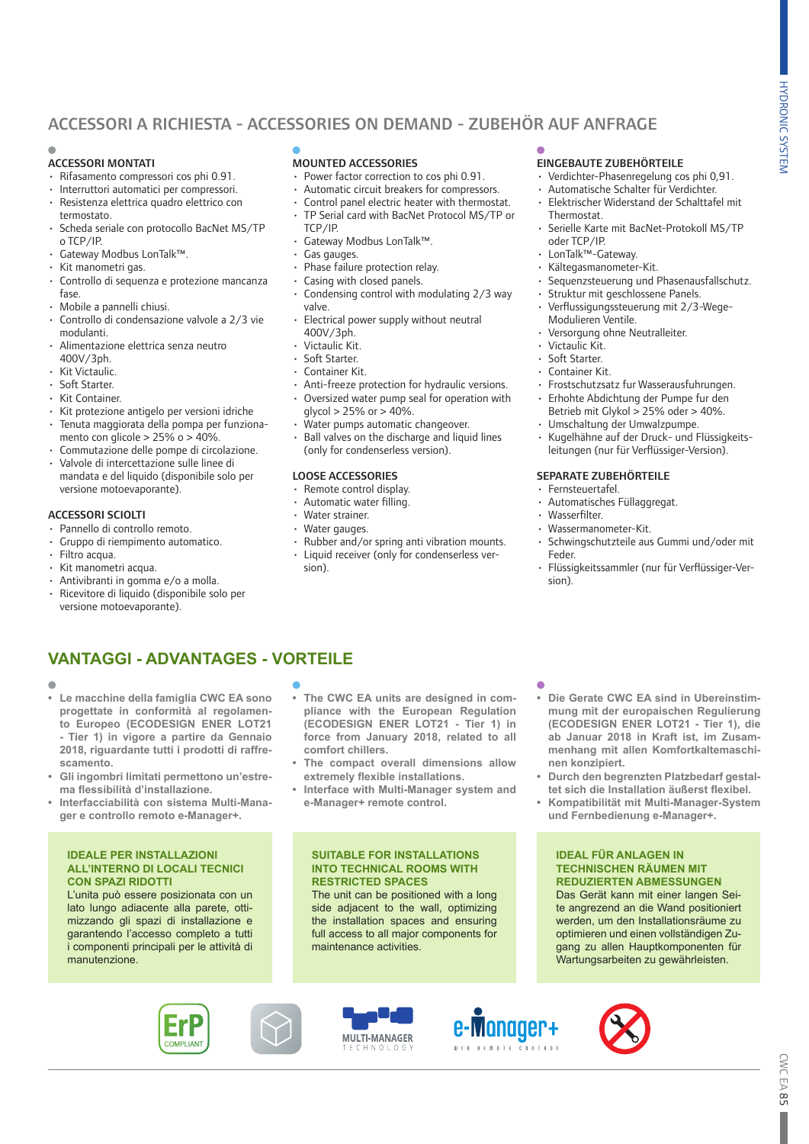# ACCESSORI A RICHIESTA - ACCESSORIES ON DEMAND - ZUBEHÖR AUF ANFRAGE

#### ACCESSORI MONTATI

- Rifasamento compressori cos phi 0.91.
- 
- Interruttori automatici per compressori. • Resistenza elettrica quadro elettrico con
- termostato. • Scheda seriale con protocollo BacNet MS/TP
- o TCP/IP.
- Gateway Modbus LonTalk™.
- Kit manometri gas.
- Controllo di sequenza e protezione mancanza fase.
- Mobile a pannelli chiusi.
- Controllo di condensazione valvole a 2/3 vie modulanti.
- Alimentazione elettrica senza neutro 400V/3ph.
- Kit Victaulic.
- Soft Starter.
- Kit Container.
- Kit protezione antigelo per versioni idriche • Tenuta maggiorata della pompa per funziona-
- mento con glicole > 25% o > 40%.
- Commutazione delle pompe di circolazione.
- Valvole di intercettazione sulle linee di mandata e del liquido (disponibile solo per versione motoevaporante).

#### ACCESSORI SCIOLTI

- Pannello di controllo remoto.
- Gruppo di riempimento automatico.
- Filtro acqua.
- Kit manometri acqua.
- Antivibranti in gomma e/o a molla. • Ricevitore di liquido (disponibile solo per versione motoevaporante).

#### MOUNTED ACCESSORIES

- Power factor correction to cos phi 0.91.
- Automatic circuit breakers for compressors.
- Control panel electric heater with thermostat. • TP Serial card with BacNet Protocol MS/TP or
- TCP/IP.
- Gateway Modbus LonTalk™.
- Gas gauges.
- Phase failure protection relay.
- Casing with closed panels.
- Condensing control with modulating 2/3 way valve.
- Electrical power supply without neutral 400V/3ph.
- Victaulic Kit.
- Soft Starter.
- Container Kit.
- Anti-freeze protection for hydraulic versions.
- Oversized water pump seal for operation with  $a$ lycol > 25% or > 40%.
- Water pumps automatic changeover.
- Ball valves on the discharge and liquid lines (only for condenserless version).

#### LOOSE ACCESSORIES

- Remote control display.
- Automatic water filling.
- Water strainer.
- Water gauges.
- Rubber and/or spring anti vibration mounts.
- Liquid receiver (only for condenserless version).

### EINGEBAUTE ZUBEHÖRTEILE

- Verdichter-Phasenregelung cos phi 0,91.
- Automatische Schalter für Verdichter. • Elektrischer Widerstand der Schalttafel mit
- Thermostat.
- Serielle Karte mit BacNet-Protokoll MS/TP oder TCP/IP.
- LonTalk™-Gateway.
- Kältegasmanometer-Kit.
- Sequenzsteuerung und Phasenausfallschutz.
- Struktur mit geschlossene Panels.
- Verflussigungssteuerung mit 2/3-Wege-Modulieren Ventile.
- Versorgung ohne Neutralleiter.
- Victaulic Kit.
- Soft Starter.
- Container Kit.
- Frostschutzsatz fur Wasserausfuhrungen.
- Erhohte Abdichtung der Pumpe fur den
- Betrieb mit Glykol > 25% oder > 40%. • Umschaltung der Umwalzpumpe.
- Kugelhähne auf der Druck- und Flüssigkeitsleitungen (nur für Verflüssiger-Version).

#### SEPARATE ZUBEHÖRTEILE

- Fernsteuertafel.
- Automatisches Füllaggregat.
- Wasserfilter.
- Wassermanometer-Kit.
- Schwingschutzteile aus Gummi und/oder mit Feder.
- Flüssigkeitssammler (nur für Verflüssiger-Version).

## **VANTAGGI - ADVANTAGES - VORTEILE**

- 
- **• Le macchine della famiglia CWC EA sono progettate in conformità al regolamento Europeo (ECODESIGN ENER LOT21 - Tier 1) in vigore a partire da Gennaio 2018, riguardante tutti i prodotti di raffrescamento.**
- **• Gli ingombri limitati permettono un'estrema flessibilità d'installazione.**
- **• Interfacciabilità con sistema Multi-Manager e controllo remoto e-Manager+.**

#### **IDEALE PER INSTALLAZIONI ALL'INTERNO DI LOCALI TECNICI CON SPAZI RIDOTTI**

L'unita può essere posizionata con un lato lungo adiacente alla parete, ottimizzando gli spazi di installazione e garantendo l'accesso completo a tutti i componenti principali per le attività di manutenzione.

- **• The CWC EA units are designed in compliance with the European Regulation (ECODESIGN ENER LOT21 - Tier 1) in force from January 2018, related to all comfort chillers.**
- **• The compact overall dimensions allow extremely flexible installations.**
- **• Interface with Multi-Manager system and e-Manager+ remote control.**

#### **SUITABLE FOR INSTALLATIONS INTO TECHNICAL ROOMS WITH RESTRICTED SPACES**

The unit can be positioned with a long side adjacent to the wall, optimizing the installation spaces and ensuring full access to all major components for maintenance activities.

- **• Die Gerate CWC EA sind in Ubereinstimmung mit der europaischen Regulierung (ECODESIGN ENER LOT21 - Tier 1), die ab Januar 2018 in Kraft ist, im Zusammenhang mit allen Komfortkaltemaschinen konzipiert.**
- **• Durch den begrenzten Platzbedarf gestaltet sich die Installation äußerst flexibel.**
- **• Kompatibilität mit Multi-Manager-System**
- **und Fernbedienung e-Manager+.**

**IDEAL FÜR ANLAGEN IN TECHNISCHEN RÄUMEN MIT REDUZIERTEN ABMESSUNGEN** Das Gerät kann mit einer langen Seite angrezend an die Wand positioniert werden, um den Installationsräume zu optimieren und einen vollständigen Zugang zu allen Hauptkomponenten für Wartungsarbeiten zu gewährleisten.







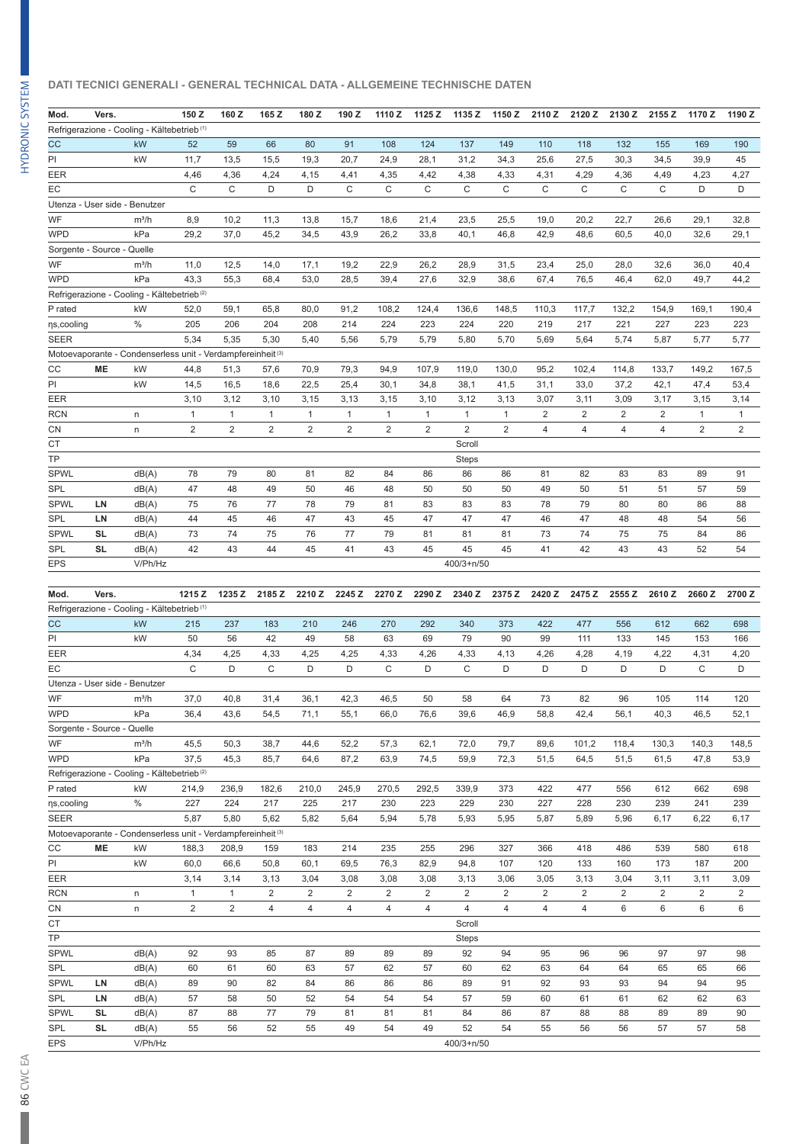#### **DATI TECNICI GENERALI - GENERAL TECHNICAL DATA - ALLGEMEINE TECHNISCHE DATEN**

| Mod.                       | Vers.     |                                                                        | 150 Z          | 160 Z          | 165 Z          | 180Z           | 190 Z          | 1110 Z         | 1125 Z         | 1135 Z       | 1150 Z       | 2110Z          | 2120 Z         | 2130 Z         | 2155 Z         | 1170Z          | 1190 Z         |
|----------------------------|-----------|------------------------------------------------------------------------|----------------|----------------|----------------|----------------|----------------|----------------|----------------|--------------|--------------|----------------|----------------|----------------|----------------|----------------|----------------|
|                            |           | Refrigerazione - Cooling - Kältebetrieb <sup>(1)</sup><br>kW           |                |                |                |                |                |                |                |              |              |                |                |                |                |                |                |
| cc                         |           |                                                                        | 52             | 59             | 66             | 80             | 91             | 108            | 124            | 137          | 149          | 110            | 118            | 132            | 155            | 169            | 190            |
| PI                         |           | kW                                                                     | 11,7           | 13,5           | 15,5           | 19,3           | 20,7           | 24,9           | 28,1           | 31,2         | 34,3         | 25,6           | 27,5           | 30,3           | 34,5           | 39,9           | 45             |
| EER                        |           |                                                                        | 4,46           | 4,36           | 4,24           | 4,15           | 4,41           | 4,35           | 4,42           | 4,38         | 4,33         | 4,31           | 4,29           | 4,36           | 4,49           | 4,23           | 4,27           |
| EC                         |           |                                                                        | C              | C              | D              | D              | $\mathsf{C}$   | C              | C              | C            | C            | C              | $\mathsf{C}$   | C              | C              | D              | D              |
|                            |           | Utenza - User side - Benutzer                                          |                |                |                |                |                |                |                |              |              |                |                |                |                |                |                |
| WF                         |           | $m^3/h$                                                                | 8,9            | 10,2           | 11,3           | 13,8           | 15,7           | 18,6           | 21,4           | 23,5         | 25,5         | 19,0           | 20,2           | 22,7           | 26,6           | 29,1           | 32,8           |
| <b>WPD</b>                 |           | kPa                                                                    | 29,2           | 37,0           | 45,2           | 34,5           | 43,9           | 26,2           | 33,8           | 40,1         | 46,8         | 42,9           | 48,6           | 60,5           | 40,0           | 32,6           | 29,1           |
| Sorgente - Source - Quelle |           |                                                                        |                |                |                |                |                |                |                |              |              |                |                |                |                |                |                |
| WF                         |           | $m^3/h$                                                                | 11,0           | 12,5           | 14,0           | 17,1           | 19,2           | 22,9           | 26,2           | 28,9         | 31,5         | 23,4           | 25,0           | 28,0           | 32,6           | 36,0           | 40,4           |
| <b>WPD</b>                 |           | kPa                                                                    | 43,3           | 55,3           | 68,4           | 53,0           | 28,5           | 39,4           | 27,6           | 32,9         | 38,6         | 67,4           | 76,5           | 46,4           | 62,0           | 49,7           | 44,2           |
|                            |           | Refrigerazione - Cooling - Kältebetrieb <sup>(2)</sup>                 |                |                |                |                |                |                |                |              |              |                |                |                |                |                |                |
| P rated                    |           | kW                                                                     | 52,0           | 59,1           | 65,8           | 80,0           | 91,2           | 108,2          | 124,4          | 136,6        | 148,5        | 110,3          | 117,7          | 132,2          | 154,9          | 169,1          | 190,4          |
| ns, cooling                |           | $\%$                                                                   | 205            | 206            | 204            | 208            | 214            | 224            | 223            | 224          | 220          | 219            | 217            | 221            | 227            | 223            | 223            |
| <b>SEER</b>                |           |                                                                        | 5,34           | 5,35           | 5,30           | 5,40           | 5,56           | 5,79           | 5,79           | 5,80         | 5,70         | 5,69           | 5,64           | 5,74           | 5,87           | 5,77           | 5,77           |
|                            |           | Motoevaporante - Condenserless unit - Verdampfereinheit <sup>(3)</sup> |                |                |                |                |                |                |                |              |              |                |                |                |                |                |                |
| CC                         | <b>ME</b> | kW                                                                     | 44,8           | 51,3           | 57,6           | 70,9           | 79,3           | 94,9           | 107,9          | 119,0        | 130,0        | 95,2           | 102,4          | 114,8          | 133,7          | 149,2          | 167,5          |
| PI                         |           | kW                                                                     | 14,5           | 16,5           | 18,6           | 22,5           | 25,4           | 30,1           | 34,8           | 38,1         | 41,5         | 31,1           | 33,0           | 37,2           | 42,1           | 47,4           | 53,4           |
| EER                        |           |                                                                        | 3,10           | 3,12           | 3,10           | 3,15           | 3,13           | 3,15           | 3,10           | 3,12         | 3,13         | 3,07           | 3,11           | 3,09           | 3,17           | 3,15           | 3,14           |
| <b>RCN</b>                 |           | n                                                                      | $\mathbf{1}$   | $\mathbf{1}$   | $\mathbf{1}$   | $\mathbf{1}$   | $\mathbf{1}$   | $\mathbf{1}$   | $\mathbf{1}$   | $\mathbf{1}$ | $\mathbf{1}$ | $\overline{c}$ | $\overline{2}$ | $\overline{2}$ | $\overline{2}$ | $\mathbf{1}$   | $\mathbf{1}$   |
| СN                         |           | n                                                                      | $\overline{2}$ | $\overline{2}$ | $\overline{2}$ | $\overline{2}$ | $\overline{2}$ | $\overline{2}$ | $\overline{2}$ | 2            | 2            | 4              | 4              | $\overline{4}$ | $\overline{4}$ | $\overline{2}$ | $\overline{2}$ |
| <b>CT</b>                  |           |                                                                        |                |                |                |                |                |                |                | Scroll       |              |                |                |                |                |                |                |
| TP                         |           |                                                                        |                |                |                |                |                |                |                | <b>Steps</b> |              |                |                |                |                |                |                |
| <b>SPWL</b>                |           | dB(A)                                                                  | 78             | 79             | 80             | 81             | 82             | 84             | 86             | 86           | 86           | 81             | 82             | 83             | 83             | 89             | 91             |
| SPL                        |           | dB(A)                                                                  | 47             | 48             | 49             | 50             | 46             | 48             | 50             | 50           | 50           | 49             | 50             | 51             | 51             | 57             | 59             |
| <b>SPWL</b>                | LN        | dB(A)                                                                  | 75             | 76             | 77             | 78             | 79             | 81             | 83             | 83           | 83           | 78             | 79             | 80             | 80             | 86             | 88             |
| SPL                        | LN        | dB(A)                                                                  | 44             | 45             | 46             | 47             | 43             | 45             | 47             | 47           | 47           | 46             | 47             | 48             | 48             | 54             | 56             |
| <b>SPWL</b>                | SL        | dB(A)                                                                  | 73             | 74             | 75             | 76             | 77             | 79             | 81             | 81           | 81           | 73             | 74             | 75             | 75             | 84             | 86             |
| SPL                        | <b>SL</b> | dB(A)                                                                  | 42             | 43             | 44             | 45             | 41             | 43             | 45             | 45           | 45           | 41             | 42             | 43             | 43             | 52             | 54             |
| EPS                        |           | V/Ph/Hz                                                                |                |                |                |                |                |                |                | 400/3+n/50   |              |                |                |                |                |                |                |
|                            |           |                                                                        |                |                |                |                |                |                |                |              |              |                |                |                |                |                |                |
| Mod.                       | Vers.     |                                                                        | 1215 Z         | 1235 Z         | 2185 Z         | 2210 Z         | 2245 Z         | 2270 Z         | 2290 Z         | 2340 Z       | 2375 Z       | 2420 Z         | 2475 Z         | 2555 Z         | 2610 Z         | 2660Z          | 2700 Z         |
|                            |           | Refrigerazione - Cooling - Kältebetrieb <sup>(1)</sup>                 |                |                |                |                |                |                |                |              |              |                |                |                |                |                |                |
| cc                         |           | kW                                                                     | 215            | 237            | 183            | 210            | 246            | 270            | 292            | 340          | 373          | 422            | 477            | 556            | 612            | 662            | 698            |
| PI                         |           | kW                                                                     | 50             | 56             | 42             | 49             | 58             | 63             | 69             | 79           | 90           | 99             | 111            | 133            | 145            | 153            | 166            |
| EER                        |           |                                                                        | 4,34           | 4,25           | 4,33           | 4,25           | 4,25           | 4,33           | 4,26           | 4,33         | 4,13         | 4,26           | 4,28           | 4,19           | 4,22           | 4,31           | 4,20           |
| EC                         |           |                                                                        | C              | D              | C              | D              | D              | C              | D              | C            | D            | D              | D              | D              | D              | C              | D              |
|                            |           | Utenza - User side - Benutzer                                          |                |                |                |                |                |                |                |              |              |                |                |                |                |                |                |
| WF                         |           | $m^3/h$                                                                | 37,0           | 40,8           | 31,4           | 36,1           | 42,3           | 46,5           | 50             | 58           | 64           | 73             | 82             | 96             | 105            | 114            | 120            |
| <b>WPD</b>                 |           | kPa                                                                    | 36.4           | 43,6           | 54,5           | 71,1           | 55,1           | 66,0           | 76,6           | 39,6         | 46,9         | 58,8           | 42,4           | 56,1           | 40,3           | 46,5           | 52,1           |
| Sorgente - Source - Quelle |           |                                                                        |                |                |                |                |                |                |                |              |              |                |                |                |                |                |                |
| WF                         |           | $m^3/h$                                                                | 45,5           | 50,3           | 38,7           | 44,6           | 52,2           | 57,3           | 62,1           | 72,0         | 79,7         | 89,6           | 101,2          | 118,4          | 130,3          | 140,3          | 148,5          |
| <b>WPD</b>                 |           | kPa                                                                    | 37,5           | 45,3           | 85,7           | 64,6           | 87,2           | 63,9           | 74,5           | 59,9         | 72,3         | 51,5           | 64,5           | 51,5           | 61,5           | 47,8           | 53,9           |
|                            |           | Refrigerazione - Cooling - Kältebetrieb <sup>(2)</sup>                 |                |                |                |                |                |                |                |              |              |                |                |                |                |                |                |
| P rated                    |           | kW                                                                     | 214,9          | 236,9          | 182,6          | 210,0          | 245,9          | 270,5          | 292,5          | 339,9        | 373          | 422            | 477            | 556            | 612            | 662            | 698            |

| ns, cooling |           | %                                                                      | 227            | 224   | 217            | 225            | 217  | 230            | 223            | 229            | 230            | 227            | 228            | 230  | 239   | 241            | 239            |
|-------------|-----------|------------------------------------------------------------------------|----------------|-------|----------------|----------------|------|----------------|----------------|----------------|----------------|----------------|----------------|------|-------|----------------|----------------|
| <b>SEER</b> |           |                                                                        | 5,87           | 5,80  | 5,62           | 5,82           | 5,64 | 5,94           | 5,78           | 5,93           | 5,95           | 5,87           | 5,89           | 5,96 | 6,17  | 6,22           | 6,17           |
|             |           | Motoevaporante - Condenserless unit - Verdampfereinheit <sup>(3)</sup> |                |       |                |                |      |                |                |                |                |                |                |      |       |                |                |
| <b>CC</b>   | <b>ME</b> | kW                                                                     | 188,3          | 208,9 | 159            | 183            | 214  | 235            | 255            | 296            | 327            | 366            | 418            | 486  | 539   | 580            | 618            |
| PI          |           | kW                                                                     | 60,0           | 66,6  | 50,8           | 60,1           | 69,5 | 76,3           | 82,9           | 94,8           | 107            | 120            | 133            | 160  | 173   | 187            | 200            |
| EER         |           |                                                                        | 3,14           | 3,14  | 3,13           | 3,04           | 3,08 | 3,08           | 3,08           | 3,13           | 3,06           | 3,05           | 3,13           | 3,04 | 3, 11 | 3, 11          | 3,09           |
| <b>RCN</b>  |           | n.                                                                     | $\overline{1}$ |       | $\overline{2}$ | $\overline{2}$ | 2    | $\overline{2}$ | $\overline{2}$ | $\overline{2}$ | $\overline{2}$ | $\overline{2}$ | $\overline{2}$ | 2    | 2     | $\overline{2}$ | $\overline{2}$ |
| CN          |           | n.                                                                     | $\overline{2}$ | 2     | 4              | 4              | 4    | 4              | 4              | 4              | 4              | 4              | 4              | 6    | 6     | 6              | 6              |
| <b>CT</b>   |           |                                                                        |                |       |                |                |      |                |                | Scroll         |                |                |                |      |       |                |                |
| <b>TP</b>   |           |                                                                        |                |       |                |                |      |                |                | <b>Steps</b>   |                |                |                |      |       |                |                |
| <b>SPWL</b> |           | dB(A)                                                                  | 92             | 93    | 85             | 87             | 89   | 89             | 89             | 92             | 94             | 95             | 96             | 96   | 97    | 97             | 98             |
| <b>SPL</b>  |           | dB(A)                                                                  | 60             | 61    | 60             | 63             | 57   | 62             | 57             | 60             | 62             | 63             | 64             | 64   | 65    | 65             | 66             |
| <b>SPWL</b> | <b>LN</b> | dB(A)                                                                  | 89             | 90    | 82             | 84             | 86   | 86             | 86             | 89             | 91             | 92             | 93             | 93   | 94    | 94             | 95             |
| SPL         | LN        | dB(A)                                                                  | 57             | 58    | 50             | 52             | 54   | 54             | 54             | 57             | 59             | 60             | 61             | 61   | 62    | 62             | 63             |
| <b>SPWL</b> | SL        | dB(A)                                                                  | 87             | 88    | 77             | 79             | 81   | 81             | 81             | 84             | 86             | 87             | 88             | 88   | 89    | 89             | 90             |
| <b>SPL</b>  | <b>SL</b> | dB(A)                                                                  | 55             | 56    | 52             | 55             | 49   | 54             | 49             | 52             | 54             | 55             | 56             | 56   | 57    | 57             | 58             |
| <b>EPS</b>  |           | V/Ph/Hz                                                                |                |       |                |                |      |                |                | $400/3 + n/50$ |                |                |                |      |       |                |                |